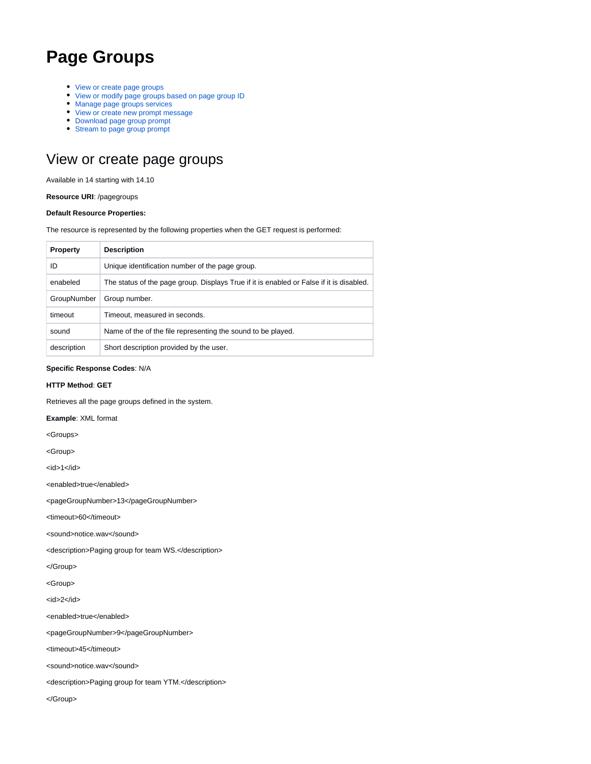# **Page Groups**

- [View or create page groups](#page-0-0)
- [View or modify page groups based on page group ID](#page-1-0)
- [Manage page groups services](#page-2-0)
- [View or create new prompt message](#page-7-0)
- [Download page group prompt](#page-10-0)
- [Stream to page group prompt](#page-10-1)

## <span id="page-0-0"></span>View or create page groups

Available in 14 starting with 14.10

**Resource URI**: /pagegroups

#### **Default Resource Properties:**

The resource is represented by the following properties when the GET request is performed:

| <b>Property</b> | <b>Description</b>                                                                       |  |
|-----------------|------------------------------------------------------------------------------------------|--|
| ID              | Unique identification number of the page group.                                          |  |
| enabeled        | The status of the page group. Displays True if it is enabled or False if it is disabled. |  |
| GroupNumber     | Group number.                                                                            |  |
| timeout         | Timeout, measured in seconds.                                                            |  |
| sound           | Name of the of the file representing the sound to be played.                             |  |
| description     | Short description provided by the user.                                                  |  |

#### **Specific Response Codes**: N/A

### **HTTP Method**: **GET**

Retrieves all the page groups defined in the system.

**Example**: XML format

<Groups>

<Group>

 $<$ id $>1$  $<$ /id $>$ 

<enabled>true</enabled>

<pageGroupNumber>13</pageGroupNumber>

<timeout>60</timeout>

<sound>notice.wav</sound>

<description>Paging group for team WS.</description>

</Group>

<Group>

<id>2</id>

<enabled>true</enabled>

<pageGroupNumber>9</pageGroupNumber>

<timeout>45</timeout>

<sound>notice.wav</sound>

<description>Paging group for team YTM.</description>

</Group>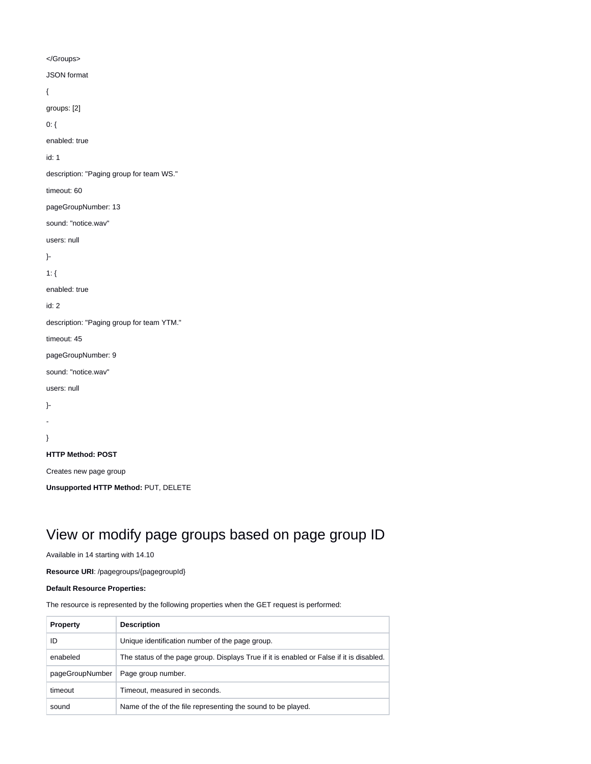</Groups> JSON format { groups: [2] 0: { enabled: true id: 1 description: "Paging group for team WS." timeout: 60 pageGroupNumber: 13 sound: "notice.wav" users: null }- 1: { enabled: true id: 2 description: "Paging group for team YTM." timeout: 45 pageGroupNumber: 9 sound: "notice.wav" users: null }- - } **HTTP Method: POST** Creates new page group

**Unsupported HTTP Method:** PUT, DELETE

# <span id="page-1-0"></span>View or modify page groups based on page group ID

Available in 14 starting with 14.10

**Resource URI**: /pagegroups/{pagegroupId}

### **Default Resource Properties:**

The resource is represented by the following properties when the GET request is performed:

| <b>Property</b> | <b>Description</b>                                                                       |
|-----------------|------------------------------------------------------------------------------------------|
| ID              | Unique identification number of the page group.                                          |
| enabeled        | The status of the page group. Displays True if it is enabled or False if it is disabled. |
| pageGroupNumber | Page group number.                                                                       |
| timeout         | Timeout, measured in seconds.                                                            |
| sound           | Name of the of the file representing the sound to be played.                             |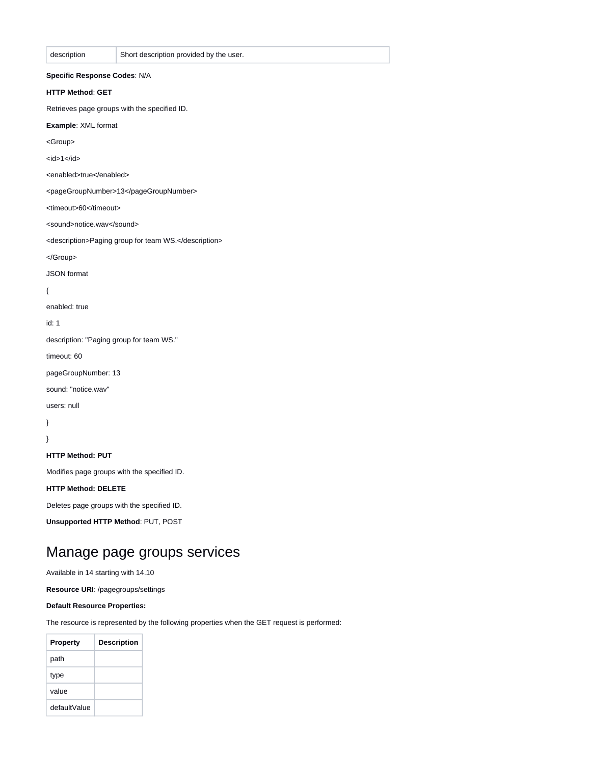| description                  | Short description provided by the user.              |
|------------------------------|------------------------------------------------------|
| Specific Response Codes: N/A |                                                      |
| <b>HTTP Method: GET</b>      |                                                      |
|                              | Retrieves page groups with the specified ID.         |
| Example: XML format          |                                                      |
| <group></group>              |                                                      |
| $<$ id>1 $<$ /id>            |                                                      |
| <enabled>true</enabled>      |                                                      |
|                              | <pagegroupnumber>13</pagegroupnumber>                |
| <timeout>60</timeout>        |                                                      |
| <sound>notice.wav</sound>    |                                                      |
|                              | <description>Paging group for team WS.</description> |
|                              |                                                      |
| <b>JSON</b> format           |                                                      |
| $\{$                         |                                                      |
| enabled: true                |                                                      |
| id: 1                        |                                                      |
|                              | description: "Paging group for team WS."             |
| timeout: 60                  |                                                      |
| pageGroupNumber: 13          |                                                      |
| sound: "notice.wav"          |                                                      |
| users: null                  |                                                      |
| }                            |                                                      |
| ł                            |                                                      |
| <b>HTTP Method: PUT</b>      |                                                      |
|                              | Modifies page groups with the specified ID.          |
| <b>HTTP Method: DELETE</b>   |                                                      |
|                              | Deletes page groups with the specified ID.           |

**Unsupported HTTP Method**: PUT, POST

## <span id="page-2-0"></span>Manage page groups services

Available in 14 starting with 14.10

**Resource URI**: /pagegroups/settings

**Default Resource Properties:**

The resource is represented by the following properties when the GET request is performed:

| <b>Property</b> | <b>Description</b> |
|-----------------|--------------------|
| path            |                    |
| type            |                    |
| value           |                    |
| defaultValue    |                    |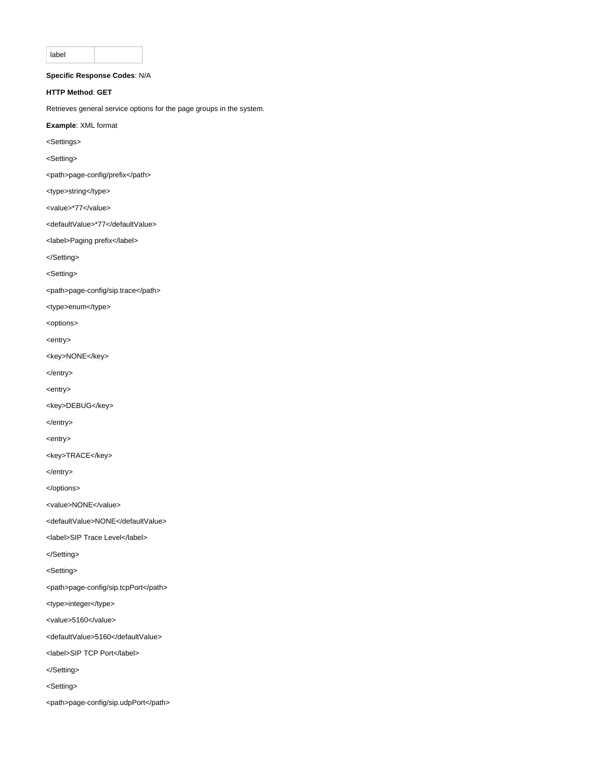label

### **Specific Response Codes**: N/A

#### **HTTP Method**: **GET**

Retrieves general service options for the page groups in the system.

- **Example**: XML format
- <Settings>
- <Setting>
- <path>page-config/prefix</path>
- <type>string</type>
- <value>\*77</value>
- <defaultValue>\*77</defaultValue>
- <label>Paging prefix</label>
- </Setting>

<Setting>

<path>page-config/sip.trace</path>

<type>enum</type>

<options>

<entry>

- <key>NONE</key>
- </entry>
- <entry>
- <key>DEBUG</key>
- </entry>
- <entry>
- <key>TRACE</key>
- </entry>

</options>

<value>NONE</value>

<defaultValue>NONE</defaultValue>

- <label>SIP Trace Level</label>
- </Setting>
- <Setting>
- <path>page-config/sip.tcpPort</path>
- <type>integer</type>
- <value>5160</value>
- <defaultValue>5160</defaultValue>
- <label>SIP TCP Port</label>
- </Setting>
- <Setting>
- <path>page-config/sip.udpPort</path>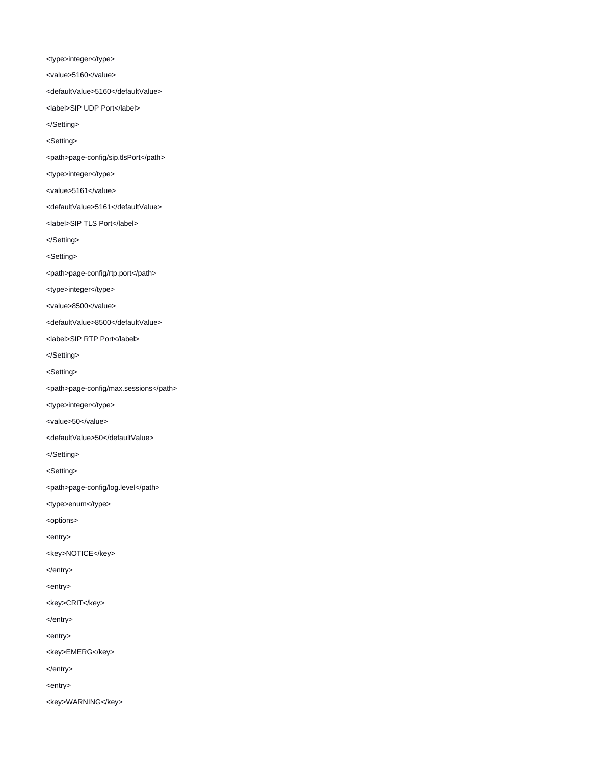<type>integer</type>

<value>5160</value>

<defaultValue>5160</defaultValue>

<label>SIP UDP Port</label>

</Setting>

<Setting>

<path>page-config/sip.tlsPort</path>

<type>integer</type>

<value>5161</value>

<defaultValue>5161</defaultValue>

<label>SIP TLS Port</label>

</Setting>

<Setting>

<path>page-config/rtp.port</path>

<type>integer</type>

<value>8500</value>

<defaultValue>8500</defaultValue>

<label>SIP RTP Port</label>

</Setting>

<Setting>

<path>page-config/max.sessions</path>

<type>integer</type>

<value>50</value>

<defaultValue>50</defaultValue>

</Setting>

<Setting>

<path>page-config/log.level</path>

<type>enum</type>

<options>

<entry>

<key>NOTICE</key>

</entry>

<entry>

<key>CRIT</key>

</entry>

<entry>

<key>EMERG</key>

</entry>

<entry>

<key>WARNING</key>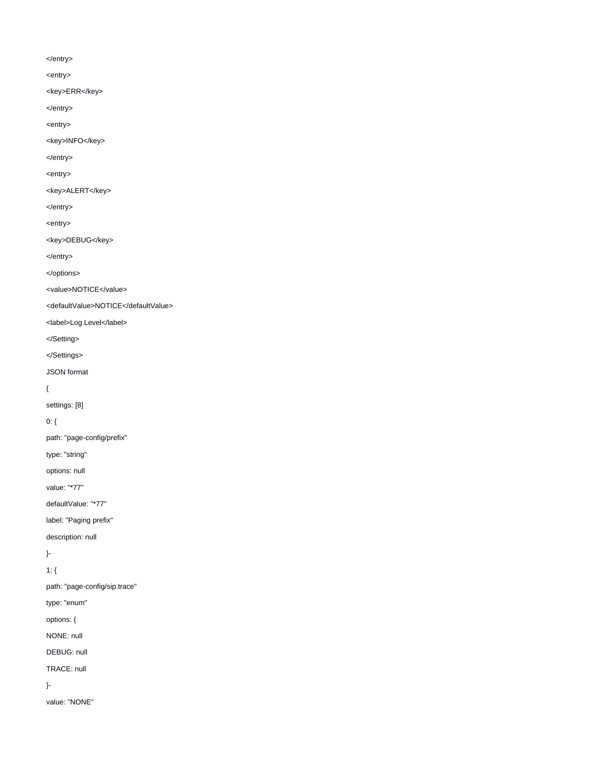</entry>

<entry>

<key>ERR</key>

</entry>

<entry>

<key>INFO</key>

</entry>

<entry>

<key>ALERT</key>

</entry>

<entry>

<key>DEBUG</key>

</entry>

</options>

<value>NOTICE</value>

<defaultValue>NOTICE</defaultValue>

<label>Log Level</label>

</Setting>

</Settings>

JSON format

{

settings: [8]

0: {

path: "page-config/prefix"

type: "string"

options: null

value: "\*77"

defaultValue: "\*77"

label: "Paging prefix"

description: null

}-

1: {

path: "page-config/sip.trace"

type: "enum"

options: {

NONE: null

DEBUG: null

TRACE: null

}-

value: "NONE"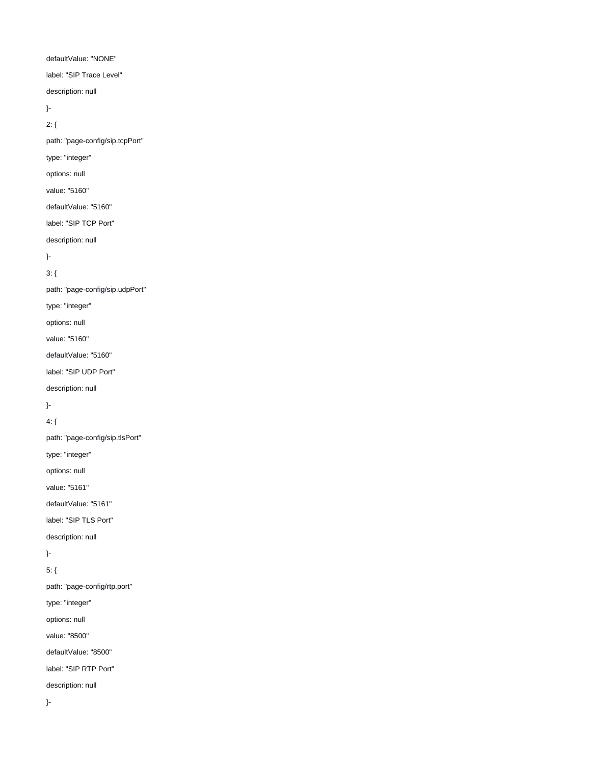# 5: { path: "page-config/rtp.port" type: "integer" options: null value: "8500" defaultValue: "8500" label: "SIP RTP Port" description: null }-

}-

description: null

label: "SIP TLS Port"

defaultValue: "5161"

value: "5161"

options: null

type: "integer"

path: "page-config/sip.tlsPort"

4: {

}-

description: null

label: "SIP UDP Port"

defaultValue: "5160"

value: "5160"

options: null

type: "integer"

path: "page-config/sip.udpPort"

3: {

}-

description: null

label: "SIP TCP Port"

defaultValue: "5160"

value: "5160"

options: null

type: "integer"

path: "page-config/sip.tcpPort"

}- 2: {

description: null

label: "SIP Trace Level"

defaultValue: "NONE"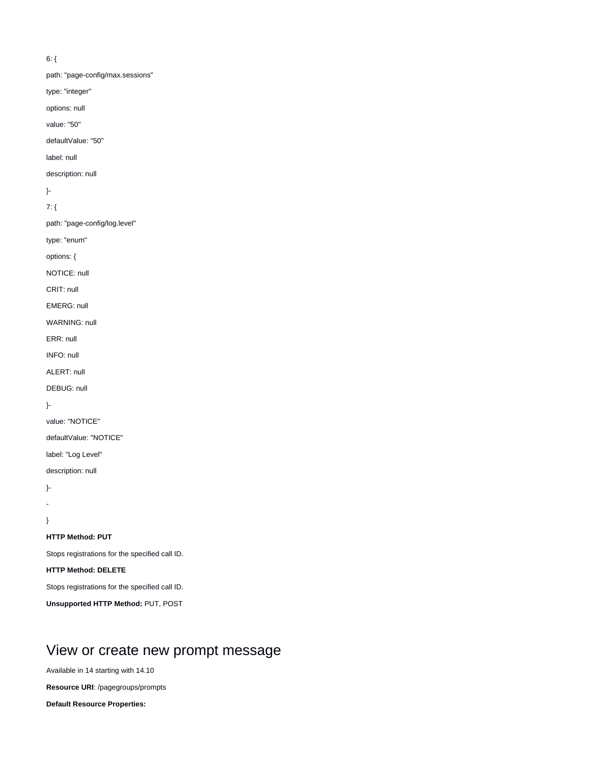### 6: {

path: "page-config/max.sessions"

type: "integer"

options: null

value: "50"

defaultValue: "50"

label: null

description: null

}-

7: {

path: "page-config/log.level"

type: "enum"

options: {

NOTICE: null

CRIT: null

EMERG: null

WARNING: null

ERR: null

INFO: null

ALERT: null

DEBUG: null

}-

value: "NOTICE"

defaultValue: "NOTICE"

label: "Log Level"

description: null

}-

-

}

### **HTTP Method: PUT**

Stops registrations for the specified call ID.

**HTTP Method: DELETE**

Stops registrations for the specified call ID.

**Unsupported HTTP Method:** PUT, POST

## <span id="page-7-0"></span>View or create new prompt message

Available in 14 starting with 14.10

**Resource URI**: /pagegroups/prompts

**Default Resource Properties:**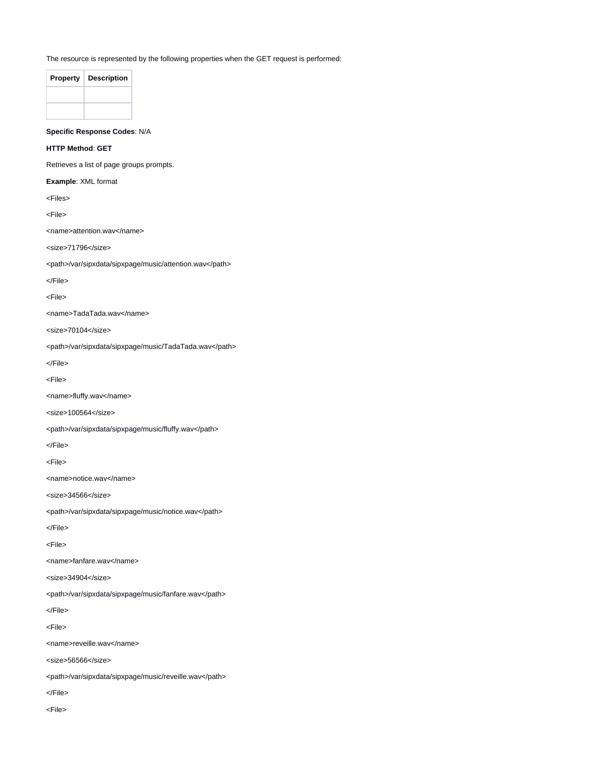The resource is represented by the following properties when the GET request is performed:

| <b>Property</b> | <b>Description</b> |
|-----------------|--------------------|
|                 |                    |
|                 |                    |

**Specific Response Codes**: N/A

**HTTP Method**: **GET**

Retrieves a list of page groups prompts.

**Example**: XML format

<Files>

<File>

<name>attention.wav</name>

<size>71796</size>

<path>/var/sipxdata/sipxpage/music/attention.wav</path>

</File>

<File>

<name>TadaTada.wav</name>

<size>70104</size>

<path>/var/sipxdata/sipxpage/music/TadaTada.wav</path>

</File>

<File>

<name>fluffy.wav</name>

<size>100564</size>

<path>/var/sipxdata/sipxpage/music/fluffy.wav</path>

</File>

<File>

<name>notice.wav</name>

<size>34566</size>

<path>/var/sipxdata/sipxpage/music/notice.wav</path>

</File>

<File>

<name>fanfare.wav</name>

<size>34904</size>

<path>/var/sipxdata/sipxpage/music/fanfare.wav</path>

</File>

<File>

<name>reveille.wav</name>

<size>56566</size>

<path>/var/sipxdata/sipxpage/music/reveille.wav</path>

</File>

<File>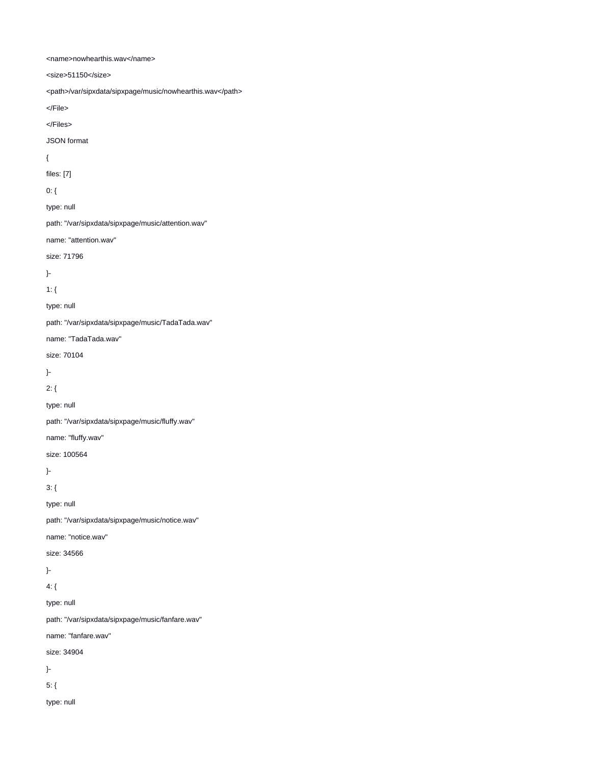<name>nowhearthis.wav</name>

<size>51150</size> <path>/var/sipxdata/sipxpage/music/nowhearthis.wav</path> </File> </Files> JSON format { files: [7] 0: { type: null path: "/var/sipxdata/sipxpage/music/attention.wav" name: "attention.wav" size: 71796 }- 1: { type: null path: "/var/sipxdata/sipxpage/music/TadaTada.wav" name: "TadaTada.wav" size: 70104 }- 2: { type: null path: "/var/sipxdata/sipxpage/music/fluffy.wav" name: "fluffy.wav" size: 100564 }- 3: { type: null path: "/var/sipxdata/sipxpage/music/notice.wav" name: "notice.wav" size: 34566 }- 4: { type: null path: "/var/sipxdata/sipxpage/music/fanfare.wav" name: "fanfare.wav" size: 34904 }- 5: { type: null